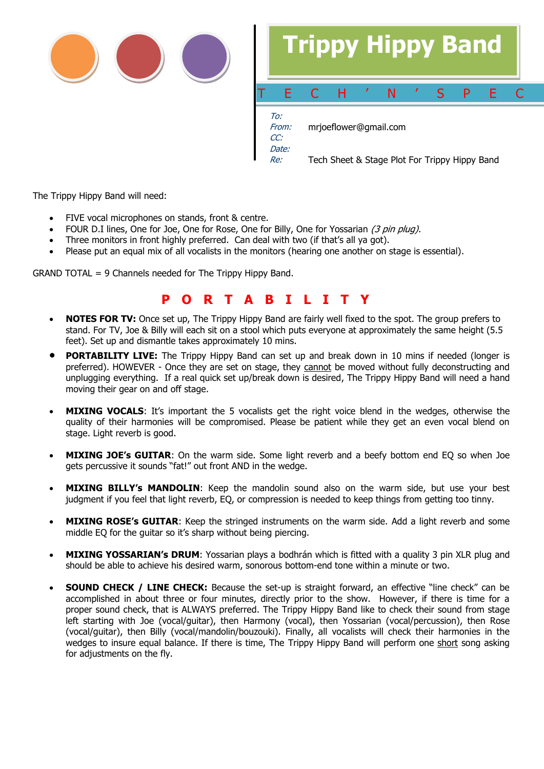



Re: Tech Sheet & Stage Plot For Trippy Hippy Band

The Trippy Hippy Band will need:

- FIVE vocal microphones on stands, front & centre.
- FOUR D.I lines, One for Joe, One for Rose, One for Billy, One for Yossarian  $(3 \text{ pin plug}).$
- Three monitors in front highly preferred. Can deal with two (if that's all ya got).
- Please put an equal mix of all vocalists in the monitors (hearing one another on stage is essential).

GRAND TOTAL = 9 Channels needed for The Trippy Hippy Band.

## **P O R T A B I L I T Y**

- **NOTES FOR TV:** Once set up, The Trippy Hippy Band are fairly well fixed to the spot. The group prefers to stand. For TV, Joe & Billy will each sit on a stool which puts everyone at approximately the same height (5.5 feet). Set up and dismantle takes approximately 10 mins.
- **PORTABILITY LIVE:** The Trippy Hippy Band can set up and break down in 10 mins if needed (longer is preferred). HOWEVER - Once they are set on stage, they cannot be moved without fully deconstructing and unplugging everything. If a real quick set up/break down is desired, The Trippy Hippy Band will need a hand moving their gear on and off stage.
- **MIXING VOCALS**: It's important the 5 vocalists get the right voice blend in the wedges, otherwise the quality of their harmonies will be compromised. Please be patient while they get an even vocal blend on stage. Light reverb is good.
- **MIXING JOE's GUITAR**: On the warm side. Some light reverb and a beefy bottom end EQ so when Joe gets percussive it sounds "fat!" out front AND in the wedge.
- **MIXING BILLY's MANDOLIN**: Keep the mandolin sound also on the warm side, but use your best judgment if you feel that light reverb, EQ, or compression is needed to keep things from getting too tinny.
- **MIXING ROSE's GUITAR**: Keep the stringed instruments on the warm side. Add a light reverb and some middle EQ for the guitar so it's sharp without being piercing.
- **MIXING YOSSARIAN's DRUM**: Yossarian plays a bodhrán which is fitted with a quality 3 pin XLR plug and should be able to achieve his desired warm, sonorous bottom-end tone within a minute or two.
- **SOUND CHECK / LINE CHECK:** Because the set-up is straight forward, an effective "line check" can be accomplished in about three or four minutes, directly prior to the show. However, if there is time for a proper sound check, that is ALWAYS preferred. The Trippy Hippy Band like to check their sound from stage left starting with Joe (vocal/guitar), then Harmony (vocal), then Yossarian (vocal/percussion), then Rose (vocal/guitar), then Billy (vocal/mandolin/bouzouki). Finally, all vocalists will check their harmonies in the wedges to insure equal balance. If there is time, The Trippy Hippy Band will perform one short song asking for adjustments on the fly.